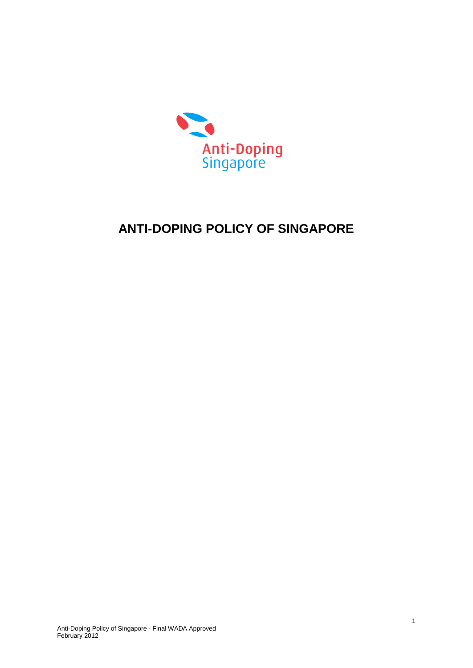

# **ANTI-DOPING POLICY OF SINGAPORE**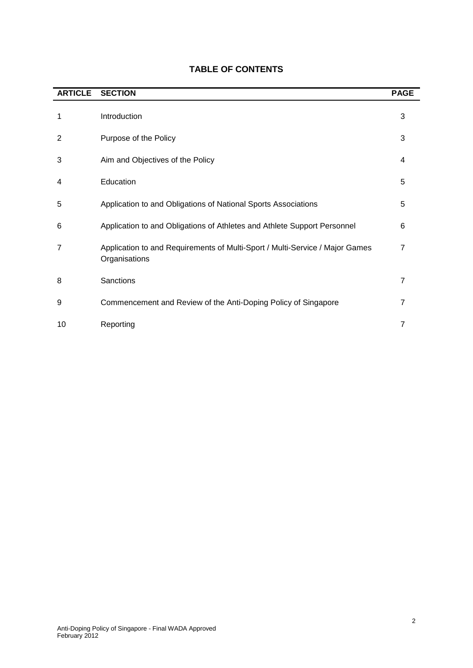| <b>ARTICLE</b> | <b>SECTION</b>                                                                                | <b>PAGE</b>    |
|----------------|-----------------------------------------------------------------------------------------------|----------------|
| 1              | Introduction                                                                                  | 3              |
| 2              | Purpose of the Policy                                                                         | 3              |
| 3              | Aim and Objectives of the Policy                                                              | 4              |
| 4              | Education                                                                                     | 5              |
| 5              | Application to and Obligations of National Sports Associations                                | 5              |
| 6              | Application to and Obligations of Athletes and Athlete Support Personnel                      | 6              |
| 7              | Application to and Requirements of Multi-Sport / Multi-Service / Major Games<br>Organisations | 7              |
| 8              | Sanctions                                                                                     | $\overline{7}$ |
| 9              | Commencement and Review of the Anti-Doping Policy of Singapore                                | 7              |
| 10             | Reporting                                                                                     | 7              |

# **TABLE OF CONTENTS**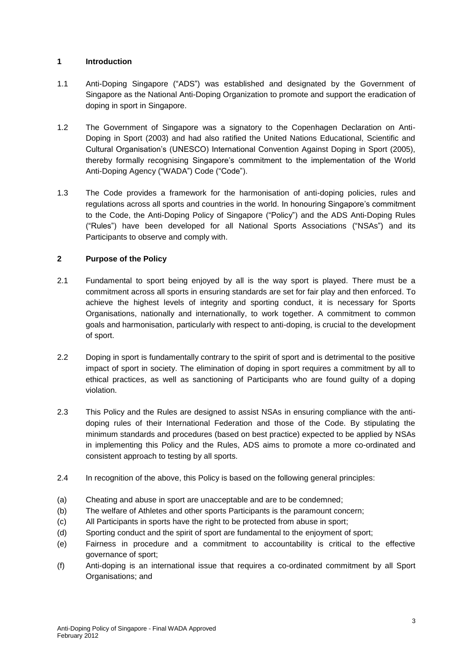# **1 Introduction**

- 1.1 Anti-Doping Singapore ("ADS") was established and designated by the Government of Singapore as the National Anti-Doping Organization to promote and support the eradication of doping in sport in Singapore.
- 1.2 The Government of Singapore was a signatory to the Copenhagen Declaration on Anti-Doping in Sport (2003) and had also ratified the United Nations Educational, Scientific and Cultural Organisation's (UNESCO) International Convention Against Doping in Sport (2005), thereby formally recognising Singapore's commitment to the implementation of the World Anti-Doping Agency ("WADA") Code ("Code").
- 1.3 The Code provides a framework for the harmonisation of anti-doping policies, rules and regulations across all sports and countries in the world. In honouring Singapore's commitment to the Code, the Anti-Doping Policy of Singapore ("Policy") and the ADS Anti-Doping Rules ("Rules") have been developed for all National Sports Associations ("NSAs") and its Participants to observe and comply with.

# **2 Purpose of the Policy**

- 2.1 Fundamental to sport being enjoyed by all is the way sport is played. There must be a commitment across all sports in ensuring standards are set for fair play and then enforced. To achieve the highest levels of integrity and sporting conduct, it is necessary for Sports Organisations, nationally and internationally, to work together. A commitment to common goals and harmonisation, particularly with respect to anti-doping, is crucial to the development of sport.
- 2.2 Doping in sport is fundamentally contrary to the spirit of sport and is detrimental to the positive impact of sport in society. The elimination of doping in sport requires a commitment by all to ethical practices, as well as sanctioning of Participants who are found guilty of a doping violation.
- 2.3 This Policy and the Rules are designed to assist NSAs in ensuring compliance with the antidoping rules of their International Federation and those of the Code. By stipulating the minimum standards and procedures (based on best practice) expected to be applied by NSAs in implementing this Policy and the Rules, ADS aims to promote a more co-ordinated and consistent approach to testing by all sports.
- 2.4 In recognition of the above, this Policy is based on the following general principles:
- (a) Cheating and abuse in sport are unacceptable and are to be condemned;
- (b) The welfare of Athletes and other sports Participants is the paramount concern;
- (c) All Participants in sports have the right to be protected from abuse in sport;
- (d) Sporting conduct and the spirit of sport are fundamental to the enjoyment of sport;
- (e) Fairness in procedure and a commitment to accountability is critical to the effective governance of sport;
- (f) Anti-doping is an international issue that requires a co-ordinated commitment by all Sport Organisations; and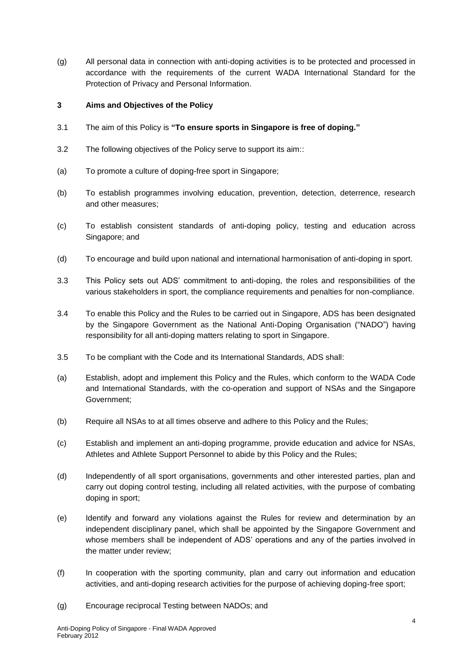(g) All personal data in connection with anti-doping activities is to be protected and processed in accordance with the requirements of the current WADA International Standard for the Protection of Privacy and Personal Information.

#### **3 Aims and Objectives of the Policy**

- 3.1 The aim of this Policy is **"To ensure sports in Singapore is free of doping."**
- 3.2 The following objectives of the Policy serve to support its aim::
- (a) To promote a culture of doping-free sport in Singapore;
- (b) To establish programmes involving education, prevention, detection, deterrence, research and other measures;
- (c) To establish consistent standards of anti-doping policy, testing and education across Singapore; and
- (d) To encourage and build upon national and international harmonisation of anti-doping in sport.
- 3.3 This Policy sets out ADS' commitment to anti-doping, the roles and responsibilities of the various stakeholders in sport, the compliance requirements and penalties for non-compliance.
- 3.4 To enable this Policy and the Rules to be carried out in Singapore, ADS has been designated by the Singapore Government as the National Anti-Doping Organisation ("NADO") having responsibility for all anti-doping matters relating to sport in Singapore.
- 3.5 To be compliant with the Code and its International Standards, ADS shall:
- (a) Establish, adopt and implement this Policy and the Rules, which conform to the WADA Code and International Standards, with the co-operation and support of NSAs and the Singapore Government;
- (b) Require all NSAs to at all times observe and adhere to this Policy and the Rules;
- (c) Establish and implement an anti-doping programme, provide education and advice for NSAs, Athletes and Athlete Support Personnel to abide by this Policy and the Rules;
- (d) Independently of all sport organisations, governments and other interested parties, plan and carry out doping control testing, including all related activities, with the purpose of combating doping in sport;
- (e) Identify and forward any violations against the Rules for review and determination by an independent disciplinary panel, which shall be appointed by the Singapore Government and whose members shall be independent of ADS' operations and any of the parties involved in the matter under review;
- (f) In cooperation with the sporting community, plan and carry out information and education activities, and anti-doping research activities for the purpose of achieving doping-free sport;
- (g) Encourage reciprocal Testing between NADOs; and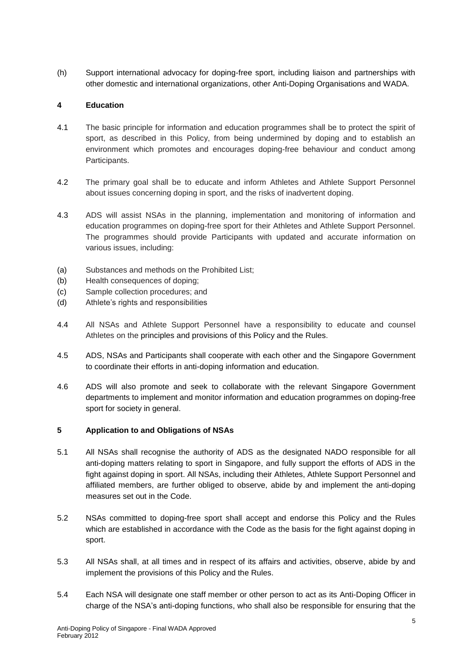(h) Support international advocacy for doping-free sport, including liaison and partnerships with other domestic and international organizations, other Anti-Doping Organisations and WADA.

# **4 Education**

- 4.1 The basic principle for information and education programmes shall be to protect the spirit of sport, as described in this Policy, from being undermined by doping and to establish an environment which promotes and encourages doping-free behaviour and conduct among Participants.
- 4.2 The primary goal shall be to educate and inform Athletes and Athlete Support Personnel about issues concerning doping in sport, and the risks of inadvertent doping.
- 4.3 ADS will assist NSAs in the planning, implementation and monitoring of information and education programmes on doping-free sport for their Athletes and Athlete Support Personnel. The programmes should provide Participants with updated and accurate information on various issues, including:
- (a) Substances and methods on the Prohibited List;
- (b) Health consequences of doping;
- (c) Sample collection procedures; and
- (d) Athlete's rights and responsibilities
- 4.4 All NSAs and Athlete Support Personnel have a responsibility to educate and counsel Athletes on the principles and provisions of this Policy and the Rules.
- 4.5 ADS, NSAs and Participants shall cooperate with each other and the Singapore Government to coordinate their efforts in anti-doping information and education.
- 4.6 ADS will also promote and seek to collaborate with the relevant Singapore Government departments to implement and monitor information and education programmes on doping-free sport for society in general.

#### **5 Application to and Obligations of NSAs**

- 5.1 All NSAs shall recognise the authority of ADS as the designated NADO responsible for all anti-doping matters relating to sport in Singapore, and fully support the efforts of ADS in the fight against doping in sport. All NSAs, including their Athletes, Athlete Support Personnel and affiliated members, are further obliged to observe, abide by and implement the anti-doping measures set out in the Code.
- 5.2 NSAs committed to doping-free sport shall accept and endorse this Policy and the Rules which are established in accordance with the Code as the basis for the fight against doping in sport.
- 5.3 All NSAs shall, at all times and in respect of its affairs and activities, observe, abide by and implement the provisions of this Policy and the Rules.
- 5.4 Each NSA will designate one staff member or other person to act as its Anti-Doping Officer in charge of the NSA's anti-doping functions, who shall also be responsible for ensuring that the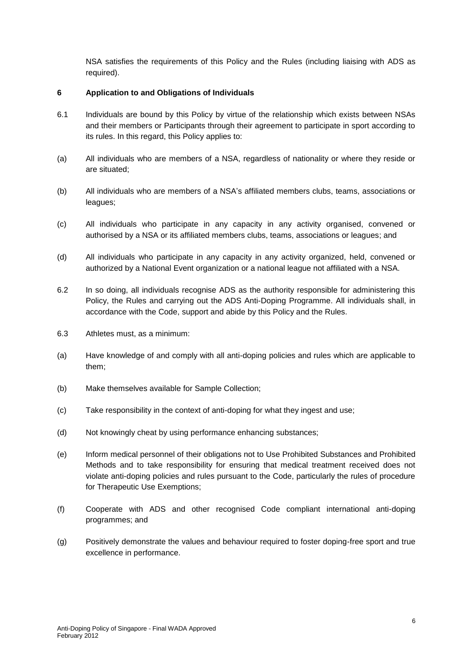NSA satisfies the requirements of this Policy and the Rules (including liaising with ADS as required).

#### **6 Application to and Obligations of Individuals**

- 6.1 Individuals are bound by this Policy by virtue of the relationship which exists between NSAs and their members or Participants through their agreement to participate in sport according to its rules. In this regard, this Policy applies to:
- (a) All individuals who are members of a NSA, regardless of nationality or where they reside or are situated;
- (b) All individuals who are members of a NSA's affiliated members clubs, teams, associations or leagues;
- (c) All individuals who participate in any capacity in any activity organised, convened or authorised by a NSA or its affiliated members clubs, teams, associations or leagues; and
- (d) All individuals who participate in any capacity in any activity organized, held, convened or authorized by a National Event organization or a national league not affiliated with a NSA.
- 6.2 In so doing, all individuals recognise ADS as the authority responsible for administering this Policy, the Rules and carrying out the ADS Anti-Doping Programme. All individuals shall, in accordance with the Code, support and abide by this Policy and the Rules.
- 6.3 Athletes must, as a minimum:
- (a) Have knowledge of and comply with all anti-doping policies and rules which are applicable to them;
- (b) Make themselves available for Sample Collection;
- (c) Take responsibility in the context of anti-doping for what they ingest and use;
- (d) Not knowingly cheat by using performance enhancing substances;
- (e) Inform medical personnel of their obligations not to Use Prohibited Substances and Prohibited Methods and to take responsibility for ensuring that medical treatment received does not violate anti-doping policies and rules pursuant to the Code, particularly the rules of procedure for Therapeutic Use Exemptions;
- (f) Cooperate with ADS and other recognised Code compliant international anti-doping programmes; and
- (g) Positively demonstrate the values and behaviour required to foster doping-free sport and true excellence in performance.